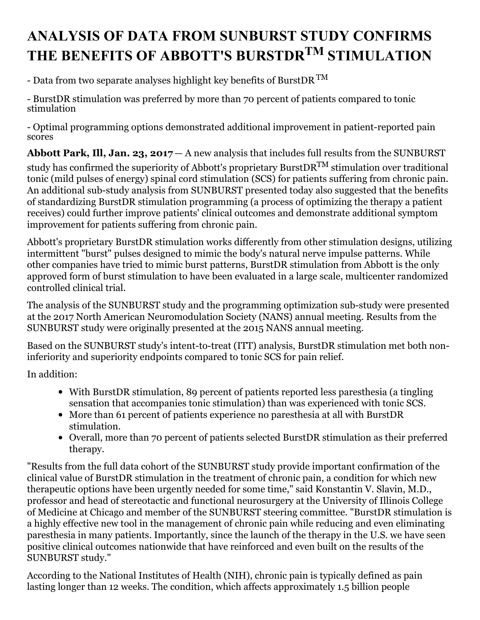# **ANALYSIS OF DATA FROM SUNBURST STUDY CONFIRMS THE BENEFITS OF ABBOTT'S BURSTDR TM STIMULATION**

- Data from two separate analyses highlight key benefits of BurstDR  $^{\rm TM}$ 

- BurstDR stimulation was preferred by more than 70 percent of patients compared to tonic stimulation

- Optimal programming options demonstrated additional improvement in patient-reported pain scores

**Abbott Park, Ill, Jan. 23, 2017** — A new analysis that includes full results from the SUNBURST

study has confirmed the superiority of Abbott's proprietary BurstDR $^{\rm TM}$  stimulation over traditional tonic (mild pulses of energy) spinal cord stimulation (SCS) for patients suffering from chronic pain. An additional sub-study analysis from SUNBURST presented today also suggested that the benefits of standardizing BurstDR stimulation programming (a process of optimizing the therapy a patient receives) could further improve patients' clinical outcomes and demonstrate additional symptom improvement for patients suffering from chronic pain.

Abbott's proprietary BurstDR stimulation works differently from other stimulation designs, utilizing intermittent "burst" pulses designed to mimic the body's natural nerve impulse patterns. While other companies have tried to mimic burst patterns, BurstDR stimulation from Abbott is the only approved form of burst stimulation to have been evaluated in a large scale, multicenter randomized controlled clinical trial.

The analysis of the SUNBURST study and the programming optimization sub-study were presented at the 2017 North American Neuromodulation Society (NANS) annual meeting. Results from the SUNBURST study were originally presented at the 2015 NANS annual meeting.

Based on the SUNBURST study's intent-to-treat (ITT) analysis, BurstDR stimulation met both noninferiority and superiority endpoints compared to tonic SCS for pain relief.

In addition:

- With BurstDR stimulation, 89 percent of patients reported less paresthesia (a tingling sensation that accompanies tonic stimulation) than was experienced with tonic SCS.
- More than 61 percent of patients experience no paresthesia at all with BurstDR stimulation.
- Overall, more than 70 percent of patients selected BurstDR stimulation as their preferred therapy.

"Results from the full data cohort of the SUNBURST study provide important confirmation of the clinical value of BurstDR stimulation in the treatment of chronic pain, a condition for which new therapeutic options have been urgently needed for some time," said Konstantin V. Slavin, M.D., professor and head of stereotactic and functional neurosurgery at the University of Illinois College of Medicine at Chicago and member of the SUNBURST steering committee. "BurstDR stimulation is a highly effective new tool in the management of chronic pain while reducing and even eliminating paresthesia in many patients. Importantly, since the launch of the therapy in the U.S. we have seen positive clinical outcomes nationwide that have reinforced and even built on the results of the SUNBURST study."

According to the National Institutes of Health (NIH), chronic pain is typically defined as pain lasting longer than 12 weeks. The condition, which affects approximately 1.5 billion people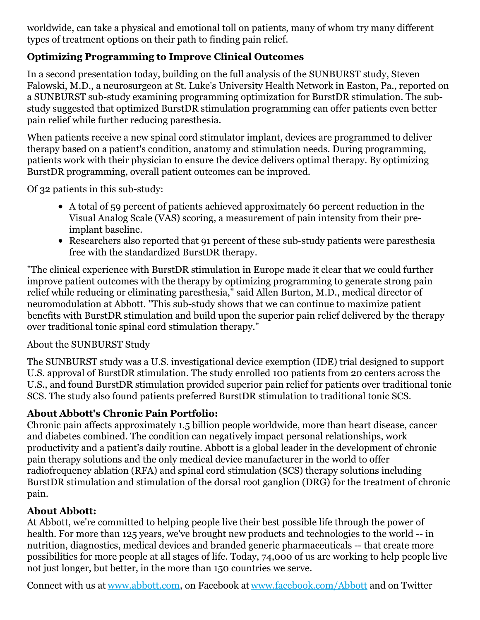worldwide, can take a physical and emotional toll on patients, many of whom try many different types of treatment options on their path to finding pain relief.

## **Optimizing Programming to Improve Clinical Outcomes**

In a second presentation today, building on the full analysis of the SUNBURST study, Steven Falowski, M.D., a neurosurgeon at St. Luke's University Health Network in Easton, Pa., reported on a SUNBURST sub-study examining programming optimization for BurstDR stimulation. The substudy suggested that optimized BurstDR stimulation programming can offer patients even better pain relief while further reducing paresthesia.

When patients receive a new spinal cord stimulator implant, devices are programmed to deliver therapy based on a patient's condition, anatomy and stimulation needs. During programming, patients work with their physician to ensure the device delivers optimal therapy. By optimizing BurstDR programming, overall patient outcomes can be improved.

Of 32 patients in this sub-study:

- A total of 59 percent of patients achieved approximately 60 percent reduction in the Visual Analog Scale (VAS) scoring, a measurement of pain intensity from their preimplant baseline.
- Researchers also reported that 91 percent of these sub-study patients were paresthesia free with the standardized BurstDR therapy.

"The clinical experience with BurstDR stimulation in Europe made it clear that we could further improve patient outcomes with the therapy by optimizing programming to generate strong pain relief while reducing or eliminating paresthesia," said Allen Burton, M.D., medical director of neuromodulation at Abbott. "This sub-study shows that we can continue to maximize patient benefits with BurstDR stimulation and build upon the superior pain relief delivered by the therapy over traditional tonic spinal cord stimulation therapy."

#### About the SUNBURST Study

The SUNBURST study was a U.S. investigational device exemption (IDE) trial designed to support U.S. approval of BurstDR stimulation. The study enrolled 100 patients from 20 centers across the U.S., and found BurstDR stimulation provided superior pain relief for patients over traditional tonic SCS. The study also found patients preferred BurstDR stimulation to traditional tonic SCS.

### **About Abbott's Chronic Pain Portfolio:**

Chronic pain affects approximately 1.5 billion people worldwide, more than heart disease, cancer and diabetes combined. The condition can negatively impact personal relationships, work productivity and a patient's daily routine. Abbott is a global leader in the development of chronic pain therapy solutions and the only medical device manufacturer in the world to offer radiofrequency ablation (RFA) and spinal cord stimulation (SCS) therapy solutions including BurstDR stimulation and stimulation of the dorsal root ganglion (DRG) for the treatment of chronic pain.

#### **About Abbott:**

At Abbott, we're committed to helping people live their best possible life through the power of health. For more than 125 years, we've brought new products and technologies to the world -- in nutrition, diagnostics, medical devices and branded generic pharmaceuticals -- that create more possibilities for more people at all stages of life. Today, 74,000 of us are working to help people live not just longer, but better, in the more than 150 countries we serve.

Connect with us at [www.abbott.com](http://www.abbott.com/), on Facebook at [www.facebook.com/Abbott](http://www.facebook.com/Abbott) and on Twitter